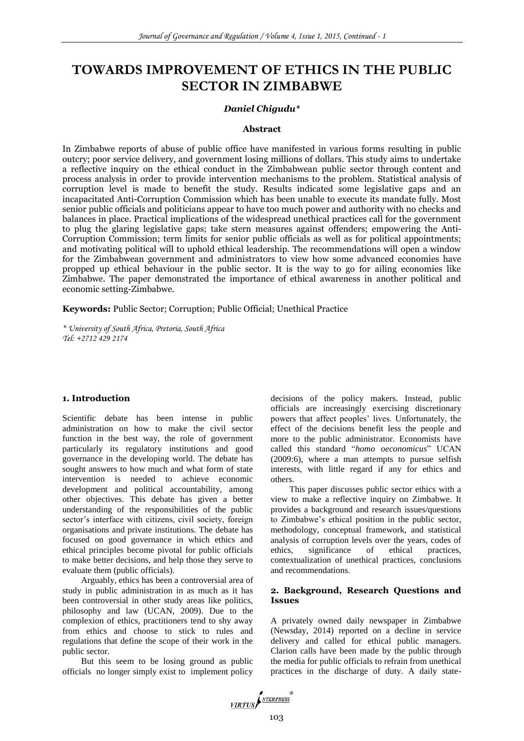# **TOWARDS IMPROVEMENT OF ETHICS IN THE PUBLIC SECTOR IN ZIMBABWE**

# *Daniel Chigudu\**

#### **Abstract**

In Zimbabwe reports of abuse of public office have manifested in various forms resulting in public outcry; poor service delivery, and government losing millions of dollars. This study aims to undertake a reflective inquiry on the ethical conduct in the Zimbabwean public sector through content and process analysis in order to provide intervention mechanisms to the problem. Statistical analysis of corruption level is made to benefit the study. Results indicated some legislative gaps and an incapacitated Anti-Corruption Commission which has been unable to execute its mandate fully. Most senior public officials and politicians appear to have too much power and authority with no checks and balances in place. Practical implications of the widespread unethical practices call for the government to plug the glaring legislative gaps; take stern measures against offenders; empowering the Anti-Corruption Commission; term limits for senior public officials as well as for political appointments; and motivating political will to uphold ethical leadership. The recommendations will open a window for the Zimbabwean government and administrators to view how some advanced economies have propped up ethical behaviour in the public sector. It is the way to go for ailing economies like Zimbabwe. The paper demonstrated the importance of ethical awareness in another political and economic setting-Zimbabwe.

**Keywords:** Public Sector; Corruption; Public Official; Unethical Practice

*\* University of South Africa, Pretoria, South Africa Tel: +2712 429 2174*

## **1. Introduction**

Scientific debate has been intense in public administration on how to make the civil sector function in the best way, the role of government particularly its regulatory institutions and good governance in the developing world. The debate has sought answers to how much and what form of state intervention is needed to achieve economic development and political accountability, among other objectives. This debate has given a better understanding of the responsibilities of the public sector's interface with citizens, civil society, foreign organisations and private institutions. The debate has focused on good governance in which ethics and ethical principles become pivotal for public officials to make better decisions, and help those they serve to evaluate them (public officials).

Arguably, ethics has been a controversial area of study in public administration in as much as it has been controversial in other study areas like politics, philosophy and law (UCAN, 2009). Due to the complexion of ethics, practitioners tend to shy away from ethics and choose to stick to rules and regulations that define the scope of their work in the public sector.

But this seem to be losing ground as public officials no longer simply exist to implement policy

decisions of the policy makers. Instead, public officials are increasingly exercising discretionary powers that affect peoples' lives. Unfortunately, the effect of the decisions benefit less the people and more to the public administrator. Economists have called this standard "*homo oeconomicus*" UCAN (2009:6), where a man attempts to pursue selfish interests, with little regard if any for ethics and others.

This paper discusses public sector ethics with a view to make a reflective inquiry on Zimbabwe. It provides a background and research issues/questions to Zimbabwe's ethical position in the public sector, methodology, conceptual framework, and statistical analysis of corruption levels over the years, codes of ethics, significance of ethical practices, contextualization of unethical practices, conclusions and recommendations.

# **2. Background, Research Questions and Issues**

A privately owned daily newspaper in Zimbabwe (Newsday, 2014) reported on a decline in service delivery and called for ethical public managers. Clarion calls have been made by the public through the media for public officials to refrain from unethical practices in the discharge of duty. A daily state-

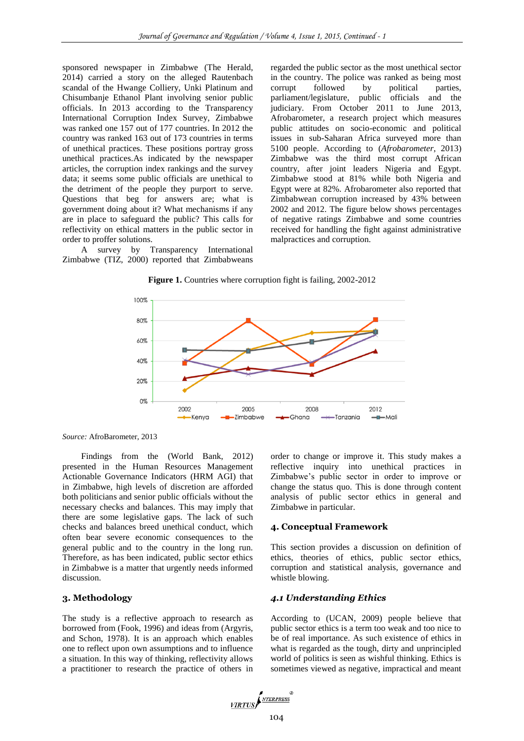sponsored newspaper in Zimbabwe (The Herald, 2014) carried a story on the alleged Rautenbach scandal of the Hwange Colliery, Unki Platinum and Chisumbanje Ethanol Plant involving senior public officials. In 2013 according to the Transparency International Corruption Index Survey, Zimbabwe was ranked one 157 out of 177 countries. In 2012 the country was ranked 163 out of 173 countries in terms of unethical practices. These positions portray gross unethical practices.As indicated by the newspaper articles, the corruption index rankings and the survey data; it seems some public officials are unethical to the detriment of the people they purport to serve. Questions that beg for answers are; what is government doing about it? What mechanisms if any are in place to safeguard the public? This calls for reflectivity on ethical matters in the public sector in order to proffer solutions.

A survey by Transparency International Zimbabwe (TIZ, 2000) reported that Zimbabweans

regarded the public sector as the most unethical sector in the country. The police was ranked as being most corrupt followed by political parties, parliament/legislature, public officials and the judiciary. From October 2011 to June 2013, Afrobarometer, a research project which measures public attitudes on socio-economic and political issues in sub-Saharan Africa surveyed more than 5100 people. According to (*Afrobarometer*, 2013) Zimbabwe was the third most corrupt African country, after joint leaders Nigeria and Egypt. Zimbabwe stood at 81% while both Nigeria and Egypt were at 82%. Afrobarometer also reported that Zimbabwean corruption increased by 43% between 2002 and 2012. The figure below shows percentages of negative ratings Zimbabwe and some countries received for handling the fight against administrative malpractices and corruption.

**Figure 1.** Countries where corruption fight is failing, 2002-2012



*Source:* AfroBarometer, 2013

Findings from the (World Bank, 2012) presented in the Human Resources Management Actionable Governance Indicators (HRM AGI) that in Zimbabwe, high levels of discretion are afforded both politicians and senior public officials without the necessary checks and balances. This may imply that there are some legislative gaps. The lack of such checks and balances breed unethical conduct, which often bear severe economic consequences to the general public and to the country in the long run. Therefore, as has been indicated, public sector ethics in Zimbabwe is a matter that urgently needs informed discussion.

# **3. Methodology**

The study is a reflective approach to research as borrowed from (Fook, 1996) and ideas from (Argyris, and Schon, 1978). It is an approach which enables one to reflect upon own assumptions and to influence a situation. In this way of thinking, reflectivity allows a practitioner to research the practice of others in order to change or improve it. This study makes a reflective inquiry into unethical practices in Zimbabwe's public sector in order to improve or change the status quo. This is done through content analysis of public sector ethics in general and Zimbabwe in particular.

# **4. Conceptual Framework**

This section provides a discussion on definition of ethics, theories of ethics, public sector ethics, corruption and statistical analysis, governance and whistle blowing.

# *4.1 Understanding Ethics*

According to (UCAN, 2009) people believe that public sector ethics is a term too weak and too nice to be of real importance. As such existence of ethics in what is regarded as the tough, dirty and unprincipled world of politics is seen as wishful thinking. Ethics is sometimes viewed as negative, impractical and meant

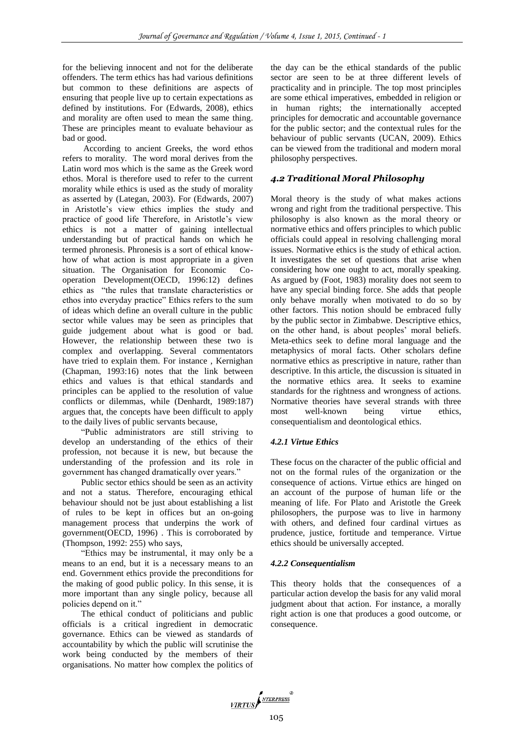for the believing innocent and not for the deliberate offenders. The term ethics has had various definitions but common to these definitions are aspects of ensuring that people live up to certain expectations as defined by institutions. For (Edwards, 2008), ethics and morality are often used to mean the same thing. These are principles meant to evaluate behaviour as bad or good.

According to ancient Greeks, the word ethos refers to morality. The word moral derives from the Latin word mos which is the same as the Greek word ethos. Moral is therefore used to refer to the current morality while ethics is used as the study of morality as asserted by (Lategan, 2003). For (Edwards, 2007) in Aristotle's view ethics implies the study and practice of good life Therefore, in Aristotle's view ethics is not a matter of gaining intellectual understanding but of practical hands on which he termed phronesis. Phronesis is a sort of ethical knowhow of what action is most appropriate in a given situation. The Organisation for Economic Cooperation Development(OECD, 1996:12) defines ethics as "the rules that translate characteristics or ethos into everyday practice" Ethics refers to the sum of ideas which define an overall culture in the public sector while values may be seen as principles that guide judgement about what is good or bad. However, the relationship between these two is complex and overlapping. Several commentators have tried to explain them. For instance , Kernighan (Chapman, 1993:16) notes that the link between ethics and values is that ethical standards and principles can be applied to the resolution of value conflicts or dilemmas, while (Denhardt, 1989:187) argues that, the concepts have been difficult to apply to the daily lives of public servants because,

"Public administrators are still striving to develop an understanding of the ethics of their profession, not because it is new, but because the understanding of the profession and its role in government has changed dramatically over years."

Public sector ethics should be seen as an activity and not a status. Therefore, encouraging ethical behaviour should not be just about establishing a list of rules to be kept in offices but an on-going management process that underpins the work of government(OECD, 1996) . This is corroborated by (Thompson, 1992: 255) who says,

"Ethics may be instrumental, it may only be a means to an end, but it is a necessary means to an end. Government ethics provide the preconditions for the making of good public policy. In this sense, it is more important than any single policy, because all policies depend on it."

The ethical conduct of politicians and public officials is a critical ingredient in democratic governance. Ethics can be viewed as standards of accountability by which the public will scrutinise the work being conducted by the members of their organisations. No matter how complex the politics of

the day can be the ethical standards of the public sector are seen to be at three different levels of practicality and in principle. The top most principles are some ethical imperatives, embedded in religion or in human rights; the internationally accepted principles for democratic and accountable governance for the public sector; and the contextual rules for the behaviour of public servants (UCAN, 2009). Ethics can be viewed from the traditional and modern moral philosophy perspectives.

# *4.2 Traditional Moral Philosophy*

Moral theory is the study of what makes actions wrong and right from the traditional perspective. This philosophy is also known as the moral theory or normative ethics and offers principles to which public officials could appeal in resolving challenging moral issues. Normative ethics is the study of ethical action. It investigates the set of questions that arise when considering how one ought to act, morally speaking. As argued by (Foot, 1983) morality does not seem to have any special binding force. She adds that people only behave morally when motivated to do so by other factors. This notion should be embraced fully by the public sector in Zimbabwe. Descriptive ethics, on the other hand, is about peoples' moral beliefs. Meta-ethics seek to define moral language and the metaphysics of moral facts. Other scholars define normative ethics as prescriptive in nature, rather than descriptive. In this article, the discussion is situated in the normative ethics area. It seeks to examine standards for the rightness and wrongness of actions. Normative theories have several strands with three most well-known being virtue ethics, consequentialism and deontological ethics.

#### *4.2.1 Virtue Ethics*

These focus on the character of the public official and not on the formal rules of the organization or the consequence of actions. Virtue ethics are hinged on an account of the purpose of human life or the meaning of life. For Plato and Aristotle the Greek philosophers, the purpose was to live in harmony with others, and defined four cardinal virtues as prudence, justice, fortitude and temperance. Virtue ethics should be universally accepted.

#### *4.2.2 Consequentialism*

This theory holds that the consequences of a particular action develop the basis for any valid moral judgment about that action. For instance, a morally right action is one that produces a good outcome, or consequence.

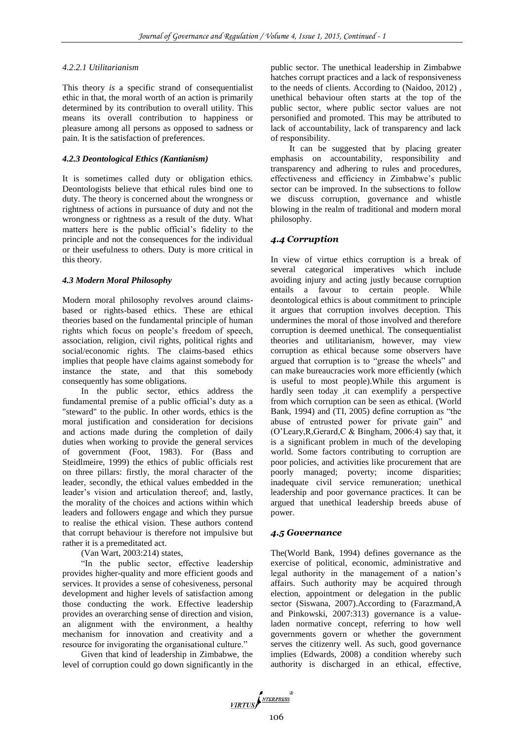## *4.2.2.1 Utilitarianism*

This theory *is* a specific strand of consequentialist ethic in that, the moral worth of an action is primarily determined by its contribution to overall utility. This means its overall contribution to happiness or pleasure among all persons as opposed to sadness or pain. It is the satisfaction of preferences.

# *4.2.3 Deontological Ethics (Kantianism)*

It is sometimes called duty or obligation ethics. Deontologists believe that ethical rules bind one to duty. The theory is concerned about the wrongness or rightness of actions in pursuance of duty and not the wrongness or rightness as a result of the duty. What matters here is the public official's fidelity to the principle and not the consequences for the individual or their usefulness to others. Duty is more critical in this theory.

## *4.3 Modern Moral Philosophy*

Modern moral philosophy revolves around claimsbased or rights-based ethics. These are ethical theories based on the fundamental principle of human rights which focus on people's freedom of speech, association, religion, civil rights, political rights and social/economic rights. The claims-based ethics implies that people have claims against somebody for instance the state, and that this somebody consequently has some obligations.

In the public sector, ethics address the fundamental premise of a public official's duty as a "steward" to the public. In other words, ethics is the moral justification and consideration for decisions and actions made during the completion of daily duties when working to provide the general services of government (Foot, 1983). For (Bass and Steidlmeire, 1999) the ethics of public officials rest on three pillars: firstly, the moral character of the leader, secondly, the ethical values embedded in the leader's vision and articulation thereof; and, lastly, the morality of the choices and actions within which leaders and followers engage and which they pursue to realise the ethical vision. These authors contend that corrupt behaviour is therefore not impulsive but rather it is a premeditated act.

(Van Wart, 2003:214) states,

"In the public sector, effective leadership provides higher-quality and more efficient goods and services. It provides a sense of cohesiveness, personal development and higher levels of satisfaction among those conducting the work. Effective leadership provides an overarching sense of direction and vision, an alignment with the environment, a healthy mechanism for innovation and creativity and a resource for invigorating the organisational culture."

Given that kind of leadership in Zimbabwe, the level of corruption could go down significantly in the public sector. The unethical leadership in Zimbabwe hatches corrupt practices and a lack of responsiveness to the needs of clients. According to (Naidoo, 2012) , unethical behaviour often starts at the top of the public sector, where public sector values are not personified and promoted. This may be attributed to lack of accountability, lack of transparency and lack of responsibility.

It can be suggested that by placing greater emphasis on accountability, responsibility and transparency and adhering to rules and procedures, effectiveness and efficiency in Zimbabwe's public sector can be improved. In the subsections to follow we discuss corruption, governance and whistle blowing in the realm of traditional and modern moral philosophy.

# *4.4 Corruption*

In view of virtue ethics corruption is a break of several categorical imperatives which include avoiding injury and acting justly because corruption entails a favour to certain people. While deontological ethics is about commitment to principle it argues that corruption involves deception. This undermines the moral of those involved and therefore corruption is deemed unethical. The consequentialist theories and utilitarianism, however, may view corruption as ethical because some observers have argued that corruption is to "grease the wheels" and can make bureaucracies work more efficiently (which is useful to most people).While this argument is hardly seen today ,it can exemplify a perspective from which corruption can be seen as ethical. (World Bank, 1994) and (TI, 2005) define corruption as "the abuse of entrusted power for private gain" and (O'Leary,R,Gerard,C & Bingham, 2006:4) say that, it is a significant problem in much of the developing world. Some factors contributing to corruption are poor policies, and activities like procurement that are poorly managed; poverty; income disparities; inadequate civil service remuneration; unethical leadership and poor governance practices. It can be argued that unethical leadership breeds abuse of power.

# *4.5 Governance*

The(World Bank, 1994) defines governance as the exercise of political, economic, administrative and legal authority in the management of a nation's affairs. Such authority may be acquired through election, appointment or delegation in the public sector (Siswana, 2007).According to (Farazmand,A and Pinkowski, 2007:313) governance is a valueladen normative concept, referring to how well governments govern or whether the government serves the citizenry well. As such, good governance implies (Edwards, 2008) a condition whereby such authority is discharged in an ethical, effective,

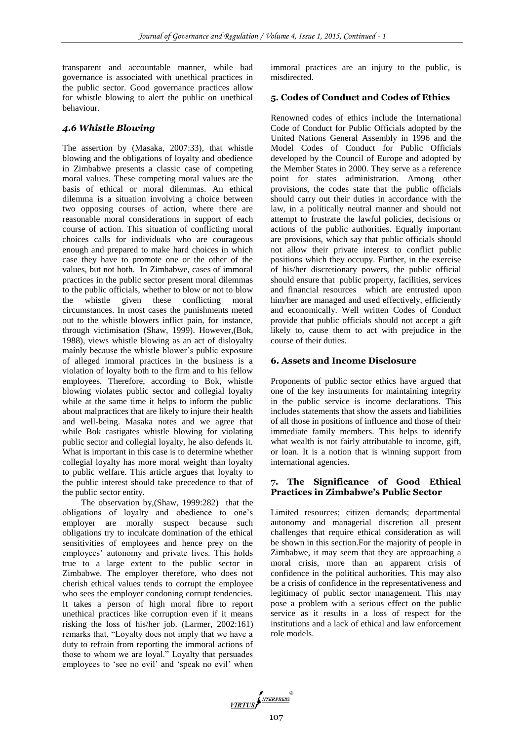transparent and accountable manner, while bad governance is associated with unethical practices in the public sector. Good governance practices allow for whistle blowing to alert the public on unethical behaviour.

# *4.6 Whistle Blowing*

The assertion by (Masaka, 2007:33), that whistle blowing and the obligations of loyalty and obedience in Zimbabwe presents a classic case of competing moral values. These competing moral values are the basis of ethical or moral dilemmas. An ethical dilemma is a situation involving a choice between two opposing courses of action, where there are reasonable moral considerations in support of each course of action. This situation of conflicting moral choices calls for individuals who are courageous enough and prepared to make hard choices in which case they have to promote one or the other of the values, but not both. In Zimbabwe, cases of immoral practices in the public sector present moral dilemmas to the public officials, whether to blow or not to blow the whistle given these conflicting moral circumstances. In most cases the punishments meted out to the whistle blowers inflict pain, for instance, through victimisation (Shaw, 1999). However,(Bok, 1988), views whistle blowing as an act of disloyalty mainly because the whistle blower's public exposure of alleged immoral practices in the business is a violation of loyalty both to the firm and to his fellow employees. Therefore, according to Bok, whistle blowing violates public sector and collegial loyalty while at the same time it helps to inform the public about malpractices that are likely to injure their health and well-being. Masaka notes and we agree that while Bok castigates whistle blowing for violating public sector and collegial loyalty, he also defends it. What is important in this case is to determine whether collegial loyalty has more moral weight than loyalty to public welfare. This article argues that loyalty to the public interest should take precedence to that of the public sector entity.

The observation by,(Shaw, 1999:282) that the obligations of loyalty and obedience to one's employer are morally suspect because such obligations try to inculcate domination of the ethical sensitivities of employees and hence prey on the employees' autonomy and private lives. This holds true to a large extent to the public sector in Zimbabwe. The employer therefore, who does not cherish ethical values tends to corrupt the employee who sees the employer condoning corrupt tendencies. It takes a person of high moral fibre to report unethical practices like corruption even if it means risking the loss of his/her job. (Larmer, 2002:161) remarks that, "Loyalty does not imply that we have a duty to refrain from reporting the immoral actions of those to whom we are loyal." Loyalty that persuades employees to 'see no evil' and 'speak no evil' when

immoral practices are an injury to the public, is misdirected.

# **5. Codes of Conduct and Codes of Ethics**

Renowned codes of ethics include the International Code of Conduct for Public Officials adopted by the United Nations General Assembly in 1996 and the Model Codes of Conduct for Public Officials developed by the Council of Europe and adopted by the Member States in 2000. They serve as a reference point for states administration. Among other provisions, the codes state that the public officials should carry out their duties in accordance with the law, in a politically neutral manner and should not attempt to frustrate the lawful policies, decisions or actions of the public authorities. Equally important are provisions, which say that public officials should not allow their private interest to conflict public positions which they occupy. Further, in the exercise of his/her discretionary powers, the public official should ensure that public property, facilities, services and financial resources which are entrusted upon him/her are managed and used effectively, efficiently and economically. Well written Codes of Conduct provide that public officials should not accept a gift likely to, cause them to act with prejudice in the course of their duties.

# **6. Assets and Income Disclosure**

Proponents of public sector ethics have argued that one of the key instruments for maintaining integrity in the public service is income declarations. This includes statements that show the assets and liabilities of all those in positions of influence and those of their immediate family members. This helps to identify what wealth is not fairly attributable to income, gift, or loan. It is a notion that is winning support from international agencies.

# **7. The Significance of Good Ethical Practices in Zimbabwe's Public Sector**

Limited resources; citizen demands; departmental autonomy and managerial discretion all present challenges that require ethical consideration as will be shown in this section.For the majority of people in Zimbabwe, it may seem that they are approaching a moral crisis, more than an apparent crisis of confidence in the political authorities. This may also be a crisis of confidence in the representativeness and legitimacy of public sector management. This may pose a problem with a serious effect on the public service as it results in a loss of respect for the institutions and a lack of ethical and law enforcement role models.

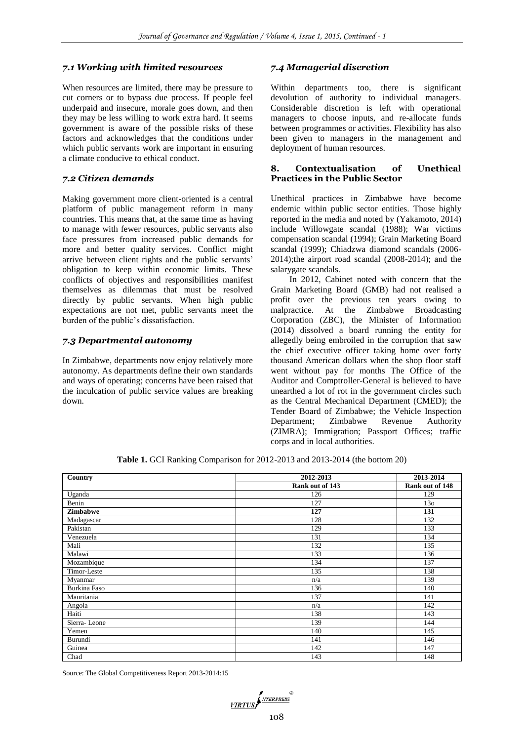# *7.1 Working with limited resources*

When resources are limited, there may be pressure to cut corners or to bypass due process. If people feel underpaid and insecure, morale goes down, and then they may be less willing to work extra hard. It seems government is aware of the possible risks of these factors and acknowledges that the conditions under which public servants work are important in ensuring a climate conducive to ethical conduct.

# *7.2 Citizen demands*

Making government more client-oriented is a central platform of public management reform in many countries. This means that, at the same time as having to manage with fewer resources, public servants also face pressures from increased public demands for more and better quality services. Conflict might arrive between client rights and the public servants' obligation to keep within economic limits. These conflicts of objectives and responsibilities manifest themselves as dilemmas that must be resolved directly by public servants. When high public expectations are not met, public servants meet the burden of the public's dissatisfaction.

# *7.3 Departmental autonomy*

In Zimbabwe, departments now enjoy relatively more autonomy. As departments define their own standards and ways of operating; concerns have been raised that the inculcation of public service values are breaking down.

# *7.4 Managerial discretion*

Within departments too, there is significant devolution of authority to individual managers. Considerable discretion is left with operational managers to choose inputs, and re-allocate funds between programmes or activities. Flexibility has also been given to managers in the management and deployment of human resources.

## **8. Contextualisation of Unethical Practices in the Public Sector**

Unethical practices in Zimbabwe have become endemic within public sector entities. Those highly reported in the media and noted by (Yakamoto, 2014) include Willowgate scandal (1988); War victims compensation scandal (1994); Grain Marketing Board scandal (1999); Chiadzwa diamond scandals (2006- 2014);the airport road scandal (2008-2014); and the salarygate scandals.

In 2012, Cabinet noted with concern that the Grain Marketing Board (GMB) had not realised a profit over the previous ten years owing to malpractice. At the Zimbabwe Broadcasting Corporation (ZBC), the Minister of Information (2014) dissolved a board running the entity for allegedly being embroiled in the corruption that saw the chief executive officer taking home over forty thousand American dollars when the shop floor staff went without pay for months The Office of the Auditor and Comptroller-General is believed to have unearthed a lot of rot in the government circles such as the Central Mechanical Department (CMED); the Tender Board of Zimbabwe; the Vehicle Inspection Department; Zimbabwe Revenue Authority (ZIMRA); Immigration; Passport Offices; traffic corps and in local authorities.

| Country         | 2012-2013       | 2013-2014       |
|-----------------|-----------------|-----------------|
|                 | Rank out of 143 | Rank out of 148 |
| Uganda          | 126             | 129             |
| Benin           | 127             | 13 <sub>o</sub> |
| <b>Zimbabwe</b> | 127             | 131             |
| Madagascar      | 128             | 132             |
| Pakistan        | 129             | 133             |
| Venezuela       | 131             | 134             |
| Mali            | 132             | 135             |
| Malawi          | 133             | 136             |
| Mozambique      | 134             | 137             |
| Timor-Leste     | 135             | 138             |
| Myanmar         | n/a             | 139             |
| Burkina Faso    | 136             | 140             |
| Mauritania      | 137             | 141             |
| Angola          | n/a             | 142             |
| Haiti           | 138             | 143             |
| Sierra-Leone    | 139             | 144             |
| Yemen           | 140             | 145             |
| Burundi         | 141             | 146             |
| Guinea          | 142             | 147             |
| Chad            | 143             | 148             |

**Table 1.** GCI Ranking Comparison for 2012-2013 and 2013-2014 (the bottom 20)

Source: The Global Competitiveness Report 2013-2014:15

VIRTUS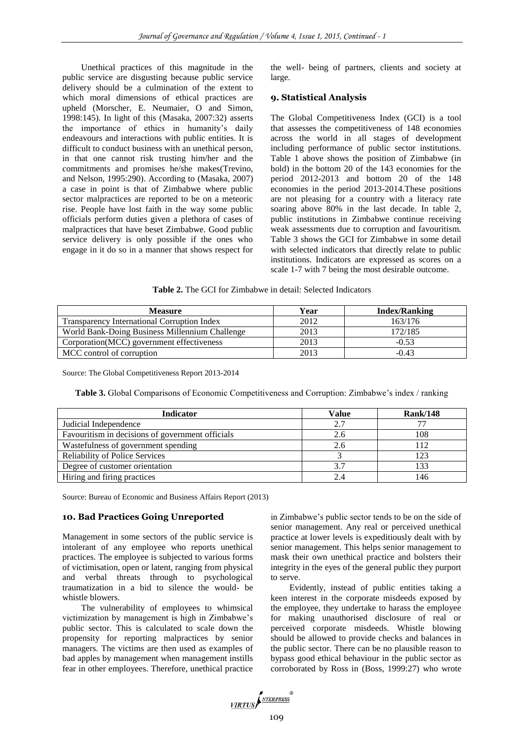Unethical practices of this magnitude in the public service are disgusting because public service delivery should be a culmination of the extent to which moral dimensions of ethical practices are upheld (Morscher, E. Neumaier, O and Simon, 1998:145). In light of this (Masaka, 2007:32) asserts the importance of ethics in humanity's daily endeavours and interactions with public entities. It is difficult to conduct business with an unethical person, in that one cannot risk trusting him/her and the commitments and promises he/she makes(Trevino, and Nelson, 1995:290). According to (Masaka, 2007) a case in point is that of Zimbabwe where public sector malpractices are reported to be on a meteoric rise. People have lost faith in the way some public officials perform duties given a plethora of cases of malpractices that have beset Zimbabwe. Good public service delivery is only possible if the ones who engage in it do so in a manner that shows respect for

the well- being of partners, clients and society at large.

# **9. Statistical Analysis**

The Global Competitiveness Index (GCI) is a tool that assesses the competitiveness of 148 economies across the world in all stages of development including performance of public sector institutions. Table 1 above shows the position of Zimbabwe (in bold) in the bottom 20 of the 143 economies for the period 2012-2013 and bottom 20 of the 148 economies in the period 2013-2014.These positions are not pleasing for a country with a literacy rate soaring above 80% in the last decade. In table 2, public institutions in Zimbabwe continue receiving weak assessments due to corruption and favouritism. Table 3 shows the GCI for Zimbabwe in some detail with selected indicators that directly relate to public institutions. Indicators are expressed as scores on a scale 1-7 with 7 being the most desirable outcome.

**Table 2.** The GCI for Zimbabwe in detail: Selected Indicators

| <b>Measure</b>                                 | Year | <b>Index/Ranking</b> |
|------------------------------------------------|------|----------------------|
| Transparency International Corruption Index    | 2012 | 163/176              |
| World Bank-Doing Business Millennium Challenge | 2013 | 172/185              |
| Corporation(MCC) government effectiveness      | 2013 | $-0.53$              |
| MCC control of corruption                      | 2013 | $-0.43$              |

Source: The Global Competitiveness Report 2013-2014

**Table 3.** Global Comparisons of Economic Competitiveness and Corruption: Zimbabwe's index / ranking

| <b>Indicator</b>                                 | <b>Value</b> | <b>Rank/148</b> |
|--------------------------------------------------|--------------|-----------------|
| Judicial Independence                            | 2.7          |                 |
| Favouritism in decisions of government officials | 2.6          | 108             |
| Wastefulness of government spending              | 2.6          |                 |
| <b>Reliability of Police Services</b>            |              | 123             |
| Degree of customer orientation                   |              | 133             |
| Hiring and firing practices                      |              | 146             |

Source: Bureau of Economic and Business Affairs Report (2013)

## **10. Bad Practices Going Unreported**

Management in some sectors of the public service is intolerant of any employee who reports unethical practices. The employee is subjected to various forms of victimisation, open or latent, ranging from physical and verbal threats through to psychological traumatization in a bid to silence the would- be whistle blowers.

The vulnerability of employees to whimsical victimization by management is high in Zimbabwe's public sector. This is calculated to scale down the propensity for reporting malpractices by senior managers. The victims are then used as examples of bad apples by management when management instills fear in other employees. Therefore, unethical practice

in Zimbabwe's public sector tends to be on the side of senior management. Any real or perceived unethical practice at lower levels is expeditiously dealt with by senior management. This helps senior management to mask their own unethical practice and bolsters their integrity in the eyes of the general public they purport to serve.

Evidently, instead of public entities taking a keen interest in the corporate misdeeds exposed by the employee, they undertake to harass the employee for making unauthorised disclosure of real or perceived corporate misdeeds. Whistle blowing should be allowed to provide checks and balances in the public sector. There can be no plausible reason to bypass good ethical behaviour in the public sector as corroborated by Ross in (Boss, 1999:27) who wrote

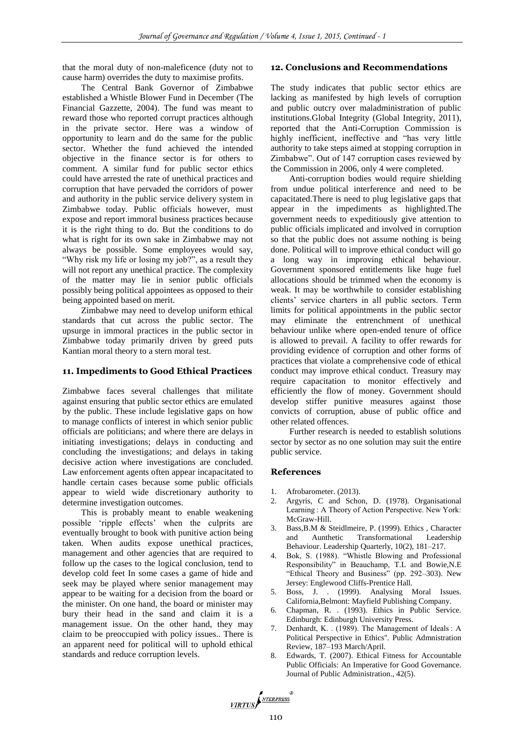that the moral duty of non-maleficence (duty not to cause harm) overrides the duty to maximise profits.

The Central Bank Governor of Zimbabwe established a Whistle Blower Fund in December (The Financial Gazzette, 2004). The fund was meant to reward those who reported corrupt practices although in the private sector. Here was a window of opportunity to learn and do the same for the public sector. Whether the fund achieved the intended objective in the finance sector is for others to comment. A similar fund for public sector ethics could have arrested the rate of unethical practices and corruption that have pervaded the corridors of power and authority in the public service delivery system in Zimbabwe today. Public officials however, must expose and report immoral business practices because it is the right thing to do. But the conditions to do what is right for its own sake in Zimbabwe may not always be possible. Some employees would say, "Why risk my life or losing my job?", as a result they will not report any unethical practice. The complexity of the matter may lie in senior public officials possibly being political appointees as opposed to their being appointed based on merit.

Zimbabwe may need to develop uniform ethical standards that cut across the public sector. The upsurge in immoral practices in the public sector in Zimbabwe today primarily driven by greed puts Kantian moral theory to a stern moral test.

# **11. Impediments to Good Ethical Practices**

Zimbabwe faces several challenges that militate against ensuring that public sector ethics are emulated by the public. These include legislative gaps on how to manage conflicts of interest in which senior public officials are politicians; and where there are delays in initiating investigations; delays in conducting and concluding the investigations; and delays in taking decisive action where investigations are concluded. Law enforcement agents often appear incapacitated to handle certain cases because some public officials appear to wield wide discretionary authority to determine investigation outcomes.

This is probably meant to enable weakening possible 'ripple effects' when the culprits are eventually brought to book with punitive action being taken. When audits expose unethical practices, management and other agencies that are required to follow up the cases to the logical conclusion, tend to develop cold feet In some cases a game of hide and seek may be played where senior management may appear to be waiting for a decision from the board or the minister. On one hand, the board or minister may bury their head in the sand and claim it is a management issue. On the other hand, they may claim to be preoccupied with policy issues.. There is an apparent need for political will to uphold ethical standards and reduce corruption levels.

# **12. Conclusions and Recommendations**

The study indicates that public sector ethics are lacking as manifested by high levels of corruption and public outcry over maladministration of public institutions.Global Integrity (Global Integrity, 2011), reported that the Anti-Corruption Commission is highly inefficient, ineffective and "has very little authority to take steps aimed at stopping corruption in Zimbabwe". Out of 147 corruption cases reviewed by the Commission in 2006, only 4 were completed.

Anti-corruption bodies would require shielding from undue political interference and need to be capacitated.There is need to plug legislative gaps that appear in the impediments as highlighted.The government needs to expeditiously give attention to public officials implicated and involved in corruption so that the public does not assume nothing is being done. Political will to improve ethical conduct will go a long way in improving ethical behaviour. Government sponsored entitlements like huge fuel allocations should be trimmed when the economy is weak. It may be worthwhile to consider establishing clients' service charters in all public sectors. Term limits for political appointments in the public sector may eliminate the entrenchment of unethical behaviour unlike where open-ended tenure of office is allowed to prevail. A facility to offer rewards for providing evidence of corruption and other forms of practices that violate a comprehensive code of ethical conduct may improve ethical conduct. Treasury may require capacitation to monitor effectively and efficiently the flow of money. Government should develop stiffer punitive measures against those convicts of corruption, abuse of public office and other related offences.

Further research is needed to establish solutions sector by sector as no one solution may suit the entire public service.

#### **References**

- Afrobarometer. (2013).
- 2. Argyris, C and Schon, D. (1978). Organisational Learning : A Theory of Action Perspective. New York: McGraw-Hill.
- 3. Bass,B.M & Steidlmeire, P. (1999). Ethics , Character and Aunthetic Transformational Leadership Behaviour. Leadership Quarterly, 10(2), 181–217.
- 4. Bok, S. (1988). "Whistle Blowing and Professional Responsibility" in Beauchamp, T.L and Bowie,N.E "Ethical Theory and Business" (pp. 292–303). New Jersey: Englewood Cliffs-Prentice Hall.
- 5. Boss, J. . (1999). Analysing Moral Issues. California,Belmont: Mayfield Publishing Company.
- 6. Chapman, R. . (1993). Ethics in Public Service. Edinburgh: Edinburgh University Press.
- 7. Denhardt, K. . (1989). The Management of Ideals : A Political Perspective in Ethics". Public Admnistration Review, 187–193 March/April.
- 8. Edwards, T. (2007). Ethical Fitness for Accountable Public Officials: An Imperative for Good Governance. Journal of Public Administration., 42(5).

VIRTUS